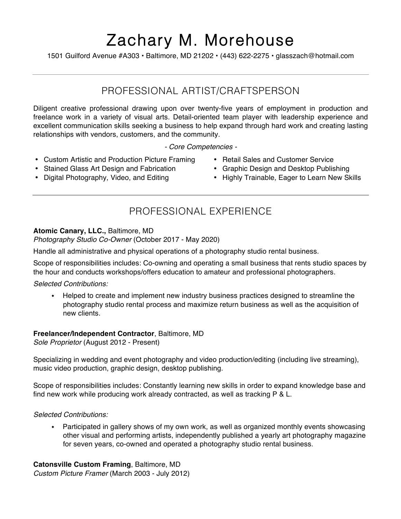# Zachary M. Morehouse

1501 Guilford Avenue #A303 • Baltimore, MD 21202 • (443) 622-2275 • glasszach@hotmail.com

### PROFESSIONAL ARTIST/CRAFTSPERSON

Diligent creative professional drawing upon over twenty-five years of employment in production and freelance work in a variety of visual arts. Detail-oriented team player with leadership experience and excellent communication skills seeking a business to help expand through hard work and creating lasting relationships with vendors, customers, and the community.

*- Core Competencies -*

- Custom Artistic and Production Picture Framing
- Stained Glass Art Design and Fabrication
- Digital Photography, Video, and Editing
- Retail Sales and Customer Service
- Graphic Design and Desktop Publishing
- Highly Trainable, Eager to Learn New Skills

# PROFESSIONAL EXPERIENCE

#### **Atomic Canary, LLC.,** Baltimore, MD

*Photography Studio Co-Owner* (October 2017 - May 2020)

Handle all administrative and physical operations of a photography studio rental business.

Scope of responsibilities includes: Co-owning and operating a small business that rents studio spaces by the hour and conducts workshops/offers education to amateur and professional photographers.

*Selected Contributions:*

! Helped to create and implement new industry business practices designed to streamline the photography studio rental process and maximize return business as well as the acquisition of new clients.

#### **Freelancer/Independent Contractor**, Baltimore, MD

*Sole Proprietor* (August 2012 - Present)

Specializing in wedding and event photography and video production/editing (including live streaming), music video production, graphic design, desktop publishing.

Scope of responsibilities includes: Constantly learning new skills in order to expand knowledge base and find new work while producing work already contracted, as well as tracking P & L.

#### *Selected Contributions:*

• Participated in gallery shows of my own work, as well as organized monthly events showcasing other visual and performing artists, independently published a yearly art photography magazine for seven years, co-owned and operated a photography studio rental business.

**Catonsville Custom Framing**, Baltimore, MD

*Custom Picture Framer* (March 2003 - July 2012)